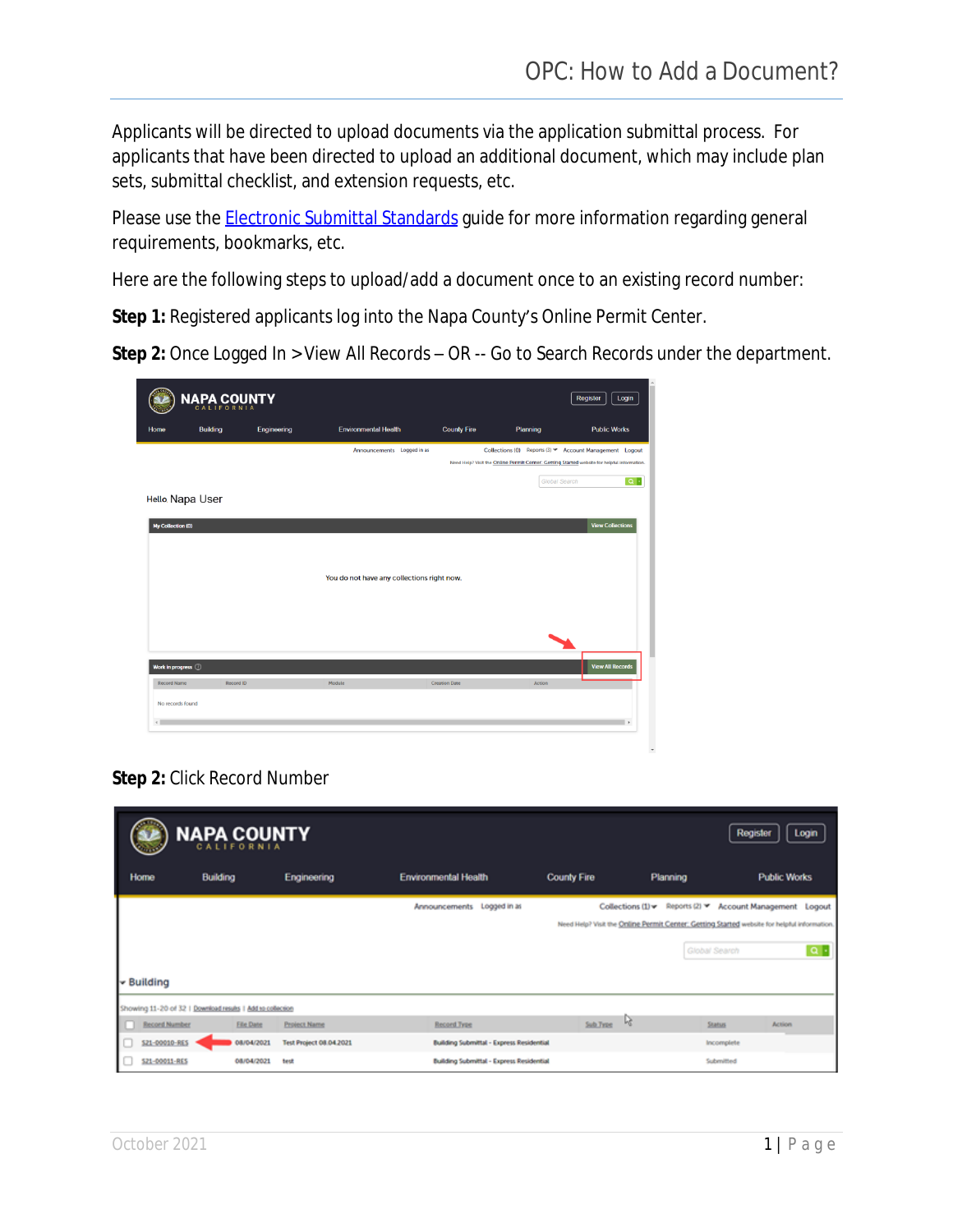Applicants will be directed to upload documents via the application submittal process. For applicants that have been directed to upload an additional document, which may include plan sets, submittal checklist, and extension requests, etc.

Please use the **[Electronic Submittal Standards](https://www.countyofnapa.org/DocumentCenter/View/21904/What-are-the-Standards-for-Electronic-Drawings-and-Documents-Submittals)** guide for more information regarding general requirements, bookmarks, etc.

Here are the following steps to upload/add a document once to an existing record number:

**Step 1:** Registered applicants log into the Napa County's Online Permit Center.

**Step 2:** Once Logged In > View All Records – OR -- Go to Search Records under the department.

| <b>NAPA COUNTY</b><br>Register<br>Login |                 |             |                                            |                      |               |                                                                                                                                                        |
|-----------------------------------------|-----------------|-------------|--------------------------------------------|----------------------|---------------|--------------------------------------------------------------------------------------------------------------------------------------------------------|
| Home                                    | <b>Building</b> | Engineering | <b>Environmental Health</b>                | <b>County Fire</b>   | Planning      | <b>Public Works</b>                                                                                                                                    |
|                                         |                 |             | Announcements Logged in as                 |                      |               | Collections (0) Reports (3) T Account Management Loqout<br>Need Help? Visit the Online Permit Center: Getting Started website for helpful information. |
| Hello Napa User                         |                 |             |                                            |                      | Global Search | $\alpha$ .                                                                                                                                             |
| My Collection (0)                       |                 |             |                                            |                      |               | <b>View Collections</b>                                                                                                                                |
|                                         |                 |             | You do not have any collections right now. |                      |               |                                                                                                                                                        |
|                                         |                 |             |                                            |                      |               |                                                                                                                                                        |
| Work in progress (2)                    |                 |             |                                            |                      |               | <b>View All Records</b>                                                                                                                                |
| <b>Record Name</b><br>No records found  | Record ID       |             | Module                                     | <b>Creation Date</b> | Action        | l k                                                                                                                                                    |

**Step 2:** Click Record Number

|                       | <b>NAPA COUNTY</b>                                         |                                |                                                 |             |                   | Register<br>Login                                                                           |
|-----------------------|------------------------------------------------------------|--------------------------------|-------------------------------------------------|-------------|-------------------|---------------------------------------------------------------------------------------------|
| Home                  | <b>Building</b>                                            | Engineering                    | <b>Environmental Health</b>                     | County Fire | Planning          | <b>Public Works</b>                                                                         |
|                       |                                                            |                                | Announcements Logged in as                      |             | Collections (1) - | Reports (2) * Account Management Logout                                                     |
|                       |                                                            |                                |                                                 |             |                   | Need Help? Visit the Online Permit Center: Getting Started website for helpful information. |
|                       |                                                            |                                |                                                 |             |                   | $\alpha$ .<br>Global Search                                                                 |
| <del>▼</del> Building |                                                            |                                |                                                 |             |                   |                                                                                             |
|                       | Showing 11-20 of 32   Download results   Add to collection |                                |                                                 |             |                   |                                                                                             |
| <b>Record Number</b>  | <b>Eile Date</b>                                           | <b>Project Name</b>            | Record Type                                     | Sub Type    | ۱ę                | <b>Status</b><br>Action                                                                     |
| S21-00010-RES         | 08/04/2021                                                 | <b>Test Project 08.04.2021</b> | <b>Building Submittal - Express Residential</b> |             |                   | Incomplete                                                                                  |
| S21-00011-RES         | 08/04/2021                                                 | test                           | <b>Building Submittal - Express Residential</b> |             |                   | Submitted                                                                                   |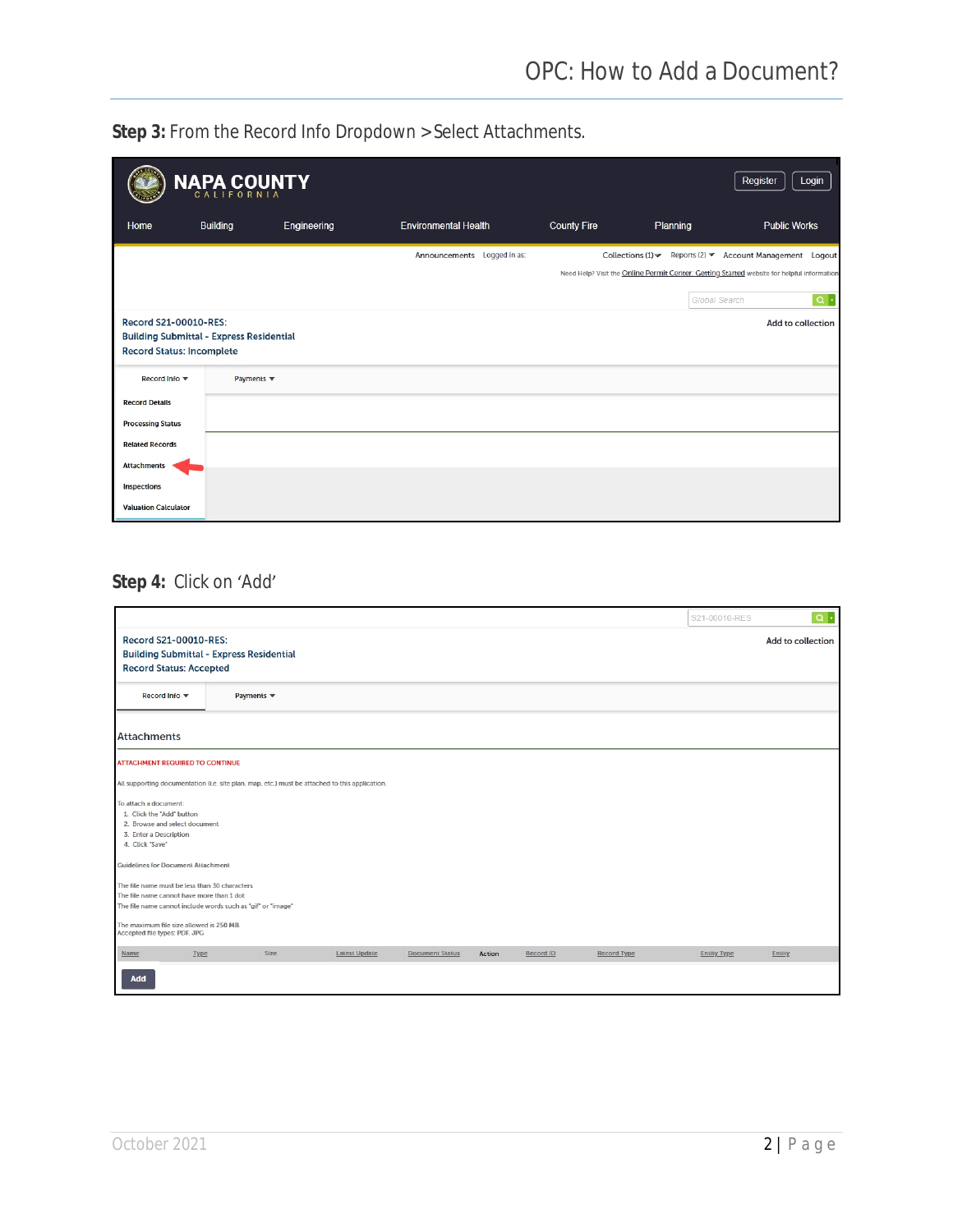**Step 3:** From the Record Info Dropdown > Select Attachments.

|                             | NAPA COUNTY                                                                         |             |                             |                    |               | Register<br>Login                                                                                                                                       |
|-----------------------------|-------------------------------------------------------------------------------------|-------------|-----------------------------|--------------------|---------------|---------------------------------------------------------------------------------------------------------------------------------------------------------|
| Home                        | <b>Building</b>                                                                     | Engineering | <b>Environmental Health</b> | <b>County Fire</b> | Planning      | <b>Public Works</b>                                                                                                                                     |
|                             |                                                                                     |             | Announcements Logged in as: |                    | Global Search | Collections (1) v Reports (2) v Account Management Logout<br>Need Help? Visit the Online Permit Center: Getting Started website for helpful information |
| Record S21-00010-RES:       | <b>Building Submittal - Express Residential</b><br><b>Record Status: Incomplete</b> |             |                             |                    |               | $\boxed{\alpha}$ .<br>Add to collection                                                                                                                 |
| Record Info ▼               | Payments $\blacktriangledown$                                                       |             |                             |                    |               |                                                                                                                                                         |
| <b>Record Details</b>       |                                                                                     |             |                             |                    |               |                                                                                                                                                         |
| <b>Processing Status</b>    |                                                                                     |             |                             |                    |               |                                                                                                                                                         |
| <b>Related Records</b>      |                                                                                     |             |                             |                    |               |                                                                                                                                                         |
| <b>Attachments</b>          |                                                                                     |             |                             |                    |               |                                                                                                                                                         |
| <b>Inspections</b>          |                                                                                     |             |                             |                    |               |                                                                                                                                                         |
| <b>Valuation Calculator</b> |                                                                                     |             |                             |                    |               |                                                                                                                                                         |

## **Step 4:** Click on 'Add'

|                                                                                                                                                           |                                                                      |                      |                        |               |           |                    | S21-00010-RES      | $Q +$  |
|-----------------------------------------------------------------------------------------------------------------------------------------------------------|----------------------------------------------------------------------|----------------------|------------------------|---------------|-----------|--------------------|--------------------|--------|
| Record S21-00010-RES:                                                                                                                                     | Add to collection<br><b>Building Submittal - Express Residential</b> |                      |                        |               |           |                    |                    |        |
| <b>Record Status: Accepted</b>                                                                                                                            |                                                                      |                      |                        |               |           |                    |                    |        |
| Record Info ▼                                                                                                                                             | Payments $\blacktriangledown$                                        |                      |                        |               |           |                    |                    |        |
| <b>Attachments</b>                                                                                                                                        |                                                                      |                      |                        |               |           |                    |                    |        |
| <b>ATTACHMENT REQUIRED TO CONTINUE</b>                                                                                                                    |                                                                      |                      |                        |               |           |                    |                    |        |
| All supporting documentation (i.e. site plan, map, etc.) must be attached to this application.                                                            |                                                                      |                      |                        |               |           |                    |                    |        |
| To attach a document:<br>1. Click the "Add" button<br>2. Browse and select document<br>3. Enter a Description<br>4. Click "Save"                          |                                                                      |                      |                        |               |           |                    |                    |        |
| <b>Guidelines for Document Attachment</b>                                                                                                                 |                                                                      |                      |                        |               |           |                    |                    |        |
| The file name must be less than 30 characters<br>The file name cannot have more than 1 dot<br>The file name cannot include words such as "gif" or "image" |                                                                      |                      |                        |               |           |                    |                    |        |
| The maximum file size allowed is 250 MB.<br>Accepted file types: PDF, JPG                                                                                 |                                                                      |                      |                        |               |           |                    |                    |        |
| Type<br>Name                                                                                                                                              | Size                                                                 | <b>Latest Update</b> | <b>Document Status</b> | <b>Action</b> | Record ID | <b>Record Type</b> | <b>Entity Type</b> | Entity |
| Add                                                                                                                                                       |                                                                      |                      |                        |               |           |                    |                    |        |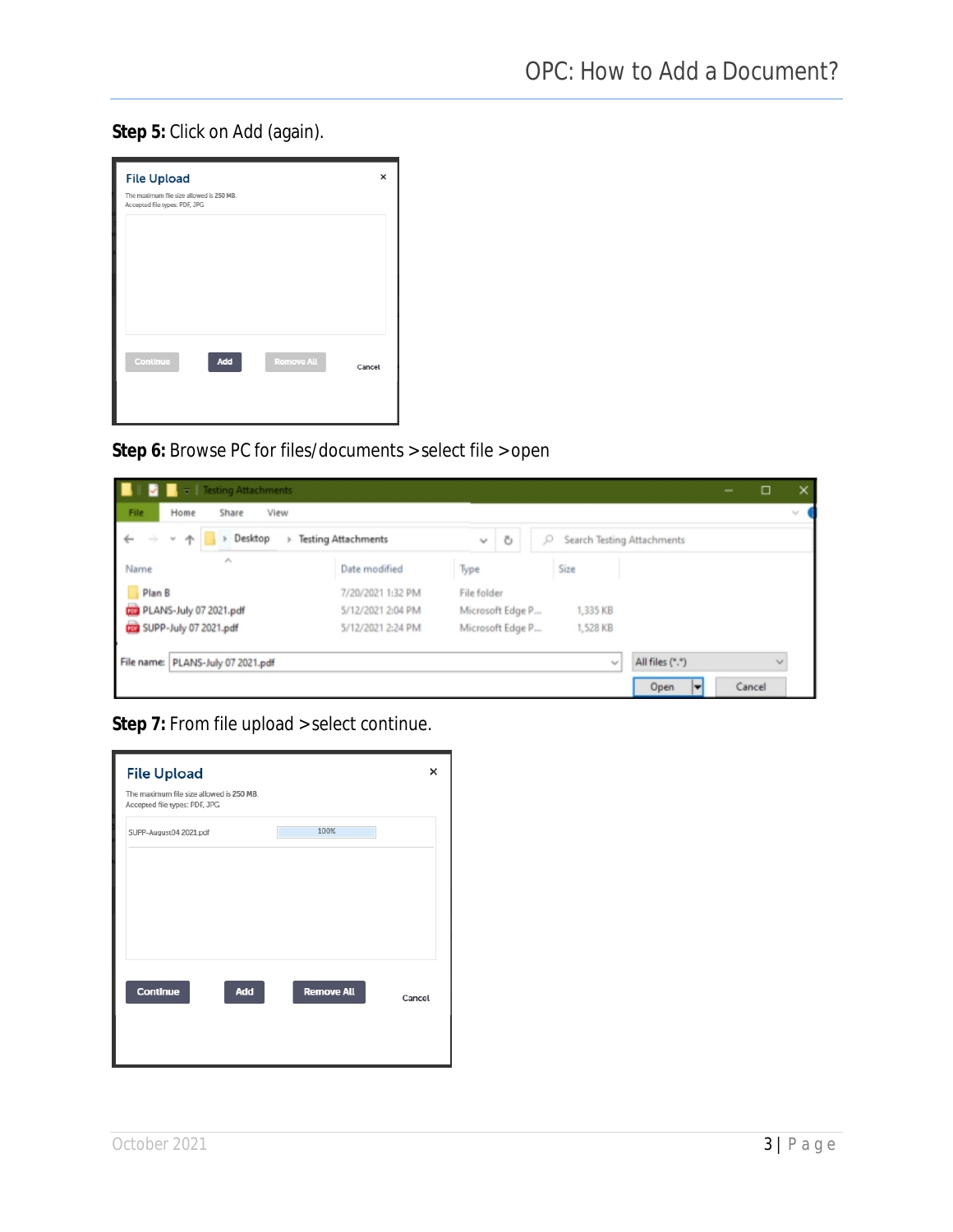**Step 5:** Click on Add (again).

| <b>File Upload</b><br>The maximum file size allowed is 250 MB.<br>Accepted file types: PDF, JPG |                   | ×      |
|-------------------------------------------------------------------------------------------------|-------------------|--------|
|                                                                                                 |                   |        |
|                                                                                                 |                   |        |
| Continue<br>Add                                                                                 | <b>Remove All</b> | Cancel |
|                                                                                                 |                   |        |

**Step 6:** Browse PC for files/documents > select file > open

| $\overline{v}$   Testing Attachments                                    |                            |                   |                                 |                 | $\qquad \qquad \blacksquare$ | □            | ×                           |
|-------------------------------------------------------------------------|----------------------------|-------------------|---------------------------------|-----------------|------------------------------|--------------|-----------------------------|
| File<br>Home<br>Share<br>View                                           |                            |                   |                                 |                 |                              |              | $\mathcal{L}_{\mathcal{A}}$ |
| Desktop<br>$\leftarrow$<br>$\longrightarrow$<br>$\sim$<br>$\rightarrow$ | <b>Testing Attachments</b> | Ö<br>$\mathbf{v}$ | Search Testing Attachments<br>Q |                 |                              |              |                             |
| ×.<br>Name                                                              | Date modified              | Type              | Size                            |                 |                              |              |                             |
| Plan B                                                                  | 7/20/2021 1:32 PM          | File folder       |                                 |                 |                              |              |                             |
| <b>CO</b> PLANS-July 07 2021.pdf                                        | 5/12/2021 2:04 PM          | Microsoft Edge P  | 1,335 KB                        |                 |                              |              |                             |
| Con SUPP-July 07 2021.pdf                                               | 5/12/2021 2:24 PM          | Microsoft Edge P  | 1,528 KB                        |                 |                              |              |                             |
| File name: PLANS-July 07 2021.pdf                                       |                            |                   | $\sim$                          | All files (*.*) |                              | $\checkmark$ |                             |
|                                                                         |                            |                   |                                 | Open<br>►       |                              | Cancel       |                             |

**Step 7:** From file upload > select continue.

| <b>File Upload</b><br>The maximum file size allowed is 250 MB.<br>Accepted file types: PDF, JPG |                   | ×      |
|-------------------------------------------------------------------------------------------------|-------------------|--------|
| SUPP-August04 2021.pdf                                                                          | 100%              |        |
|                                                                                                 |                   |        |
|                                                                                                 |                   |        |
|                                                                                                 |                   |        |
| Add<br>Continue                                                                                 | <b>Remove All</b> | Cancel |
|                                                                                                 |                   |        |